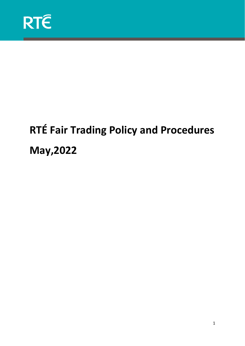

# **RTÉ Fair Trading Policy and Procedures May,2022**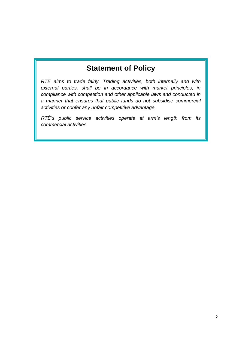# **Statement of Policy**

*RTÉ aims to trade fairly. Trading activities, both internally and with external parties, shall be in accordance with market principles, in compliance with competition and other applicable laws and conducted in a manner that ensures that public funds do not subsidise commercial activities or confer any unfair competitive advantage.*

*RTÉ's public service activities operate at arm's length from its commercial activities.*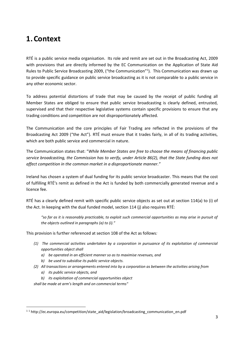# **1.Context**

RTÉ is a public service media organisation. Its role and remit are set out in the Broadcasting Act, 2009 with provisions that are directly informed by the EC Communication on the Application of State Aid Rules to Public Service Broadcasting 2009, ("the Communication"1). This Communication was drawn up to provide specific guidance on public service broadcasting as it is not comparable to a public service in any other economic sector.

To address potential distortions of trade that may be caused by the receipt of public funding all Member States are obliged to ensure that public service broadcasting is clearly defined, entrusted, supervised and that their respective legislative systems contain specific provisions to ensure that any trading conditions and competition are not disproportionately affected.

The Communication and the core principles of Fair Trading are reflected in the provisions of the Broadcasting Act 2009 ("the Act"). RTÉ must ensure that it trades fairly, in all of its trading activities, which are both public service and commercial in nature.

The Communication states that: "*While Member States are free to choose the means of financing public service broadcasting, the Commission has to verify, under Article 86(2), that the State funding does not affect competition in the common market in a disproportionate manner."*

Ireland has chosen a system of dual funding for its public service broadcaster. This means that the cost of fulfilling RTÉ's remit as defined in the Act is funded by both commercially generated revenue and a licence fee.

RTÉ has a clearly defined remit with specific public service objects as set out at section 114(a) to (i) of the Act. In keeping with the dual funded model, section 114 (j) also requires RTÉ:

*"so far as it is reasonably practicable, to exploit such commercial opportunities as may arise in pursuit of the objects outlined in paragraphs (a) to (i)."*

This provision is further referenced at section 108 of the Act as follows*:* 

- *(1) The commercial activities undertaken by a corporation in pursuance of its exploitation of commercial opportunities object shall*
	- *a) be operated in an efficient manner so as to maximise revenues, and*
	- *b) be used to subsidise its public service objects.*
- *(2) All transactions or arrangements entered into by a corporation as between the activities arising from*
	- *a) its public service objects, and*
	- *b) its exploitation of commercial opportunities object*

*shall be made at arm's length and on commercial terms"*

<sup>&</sup>lt;sup>11</sup> http://ec.europa.eu/competition/state\_aid/legislation/broadcasting\_communication\_en.pdf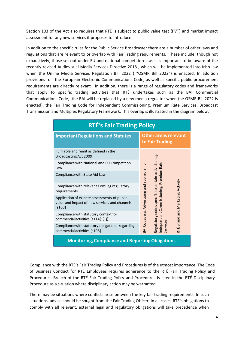Section 103 of the Act also requires that RTÉ is subject to public value test (PVT) and market impact assessment for any new services it proposes to introduce.

In addition to the specific rules for the Public Service Broadcaster there are a number of other laws and regulations that are relevant to or overlap with Fair Trading requirements. These include, though not exhaustively, those set out under EU and national competition law. It is important to be aware of the recently revised Audiovisual Media Services Directive 2018 , which will be implemented into Irish law when the Online Media Services Regulation Bill 2022 ( "OSMR Bill 2022") is enacted. In addition provisions of the European Electronic Communications Code, as well as specific public procurement requirements are directly relevant In addition, there is a range of regulatory codes and frameworks that apply to specific trading activities that RTÉ undertakes such as the BAI Commercial Communications Code, (the BAI will be replaced by a new media regulator when the OSMR Bill 2022 is enacted), the Fair Trading Code for Independent Commissioning, Premium Rate Services, Broadcast Transmission and Multiplex Regulatory Framework. This overlap is illustrated in the diagram below.

| <b>RTÉ's Fair Trading Policy</b>                                                                          |                                                                                                                                                                      |
|-----------------------------------------------------------------------------------------------------------|----------------------------------------------------------------------------------------------------------------------------------------------------------------------|
| <b>Important Regulations and Statutes</b>                                                                 | <b>Other areas relevant</b><br>to Fair Trading                                                                                                                       |
| Fulfil role and remit as defined in the<br>Broadcasting Act 2009                                          |                                                                                                                                                                      |
| Compliance with National and EU Competition<br>Law                                                        |                                                                                                                                                                      |
| Compliance with State Aid Law                                                                             | Premium Rate                                                                                                                                                         |
| Compliance with relevant ComReg regulatory<br>requirements                                                |                                                                                                                                                                      |
| Application of ex ante assessments of public<br>value and impact of new services and channels<br>$[5103]$ | Regulatory codes specific to certain activities e.g.<br>BAI Codes e.g. Advertising and sponsorship<br>RTÉ Brand and Marketing Activity<br>Independent Commissioning, |
| Compliance with statutory context for<br>commercial activities $[s114(1)(i)]$                             |                                                                                                                                                                      |
| Compliance with statutory obligations regarding<br>commercial activities [s108]                           | Services                                                                                                                                                             |
| <b>Monitoring, Compliance and Reporting Obligations</b>                                                   |                                                                                                                                                                      |

Compliance with the RTÉ's Fair Trading Policy and Procedures is of the utmost importance. The Code of Business Conduct for RTÉ Employees requires adherence to the RTÉ Fair Trading Policy and Procedures. Breach of the RTÉ Fair Trading Policy and Procedures is cited in the RTÉ Disciplinary Procedure as a situation where disciplinary action may be warranted.

There may be situations where conflicts arise between the key fair trading requirements. In such situations, advice should be sought from the Fair Trading Officer. In all cases, RTÉ's obligations to comply with all relevant, external legal and regulatory obligations will take precedence when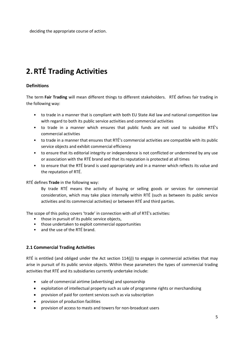deciding the appropriate course of action.

# **2.RTÉ Trading Activities**

#### **Definitions**

The term **Fair Trading** will mean different things to different stakeholders. RTÉ defines fair trading in the following way:

- to trade in a manner that is compliant with both EU State Aid law and national competition law with regard to both its public service activities and commercial activities
- to trade in a manner which ensures that public funds are not used to subsidise RTÉ's commercial activities
- to trade in a manner that ensures that RTÉ's commercial activities are compatible with its public service objects and exhibit commercial efficiency
- to ensure that its editorial integrity or independence is not conflicted or undermined by any use or association with the RTÉ brand and that its reputation is protected at all times
- to ensure that the RTÉ brand is used appropriately and in a manner which reflects its value and the reputation of RTÉ.

#### RTÉ defines **Trade** in the following way:

By trade RTÉ means the activity of buying or selling goods or services for commercial consideration, which may take place internally within RTÉ (such as between its public service activities and its commercial activities) or between RTÉ and third parties.

The scope of this policy covers 'trade' in connection with *all* of RTÉ's activities:

- those in pursuit of its public service objects,
- those undertaken to exploit commercial opportunities
- and the use of the RTÉ brand.

#### **2.1 Commercial Trading Activities**

RTÉ is entitled (and obliged under the Act section 114(j)) to engage in commercial activities that may arise in pursuit of its public service objects. Within these parameters the types of commercial trading activities that RTÉ and its subsidiaries currently undertake include:

- sale of commercial airtime (advertising) and sponsorship
- exploitation of intellectual property such as sale of programme rights or merchandising
- provision of paid for content services such as via subscription
- provision of production facilities
- provision of access to masts and towers for non-broadcast users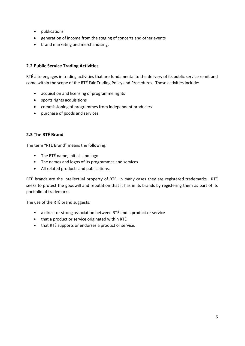- publications
- generation of income from the staging of concerts and other events
- brand marketing and merchandising.

#### **2.2 Public Service Trading Activities**

RTÉ also engages in trading activities that are fundamental to the delivery of its public service remit and come within the scope of the RTÉ Fair Trading Policy and Procedures. Those activities include:

- acquisition and licensing of programme rights
- sports rights acquisitions
- commissioning of programmes from independent producers
- purchase of goods and services.

#### **2.3 The RTÉ Brand**

The term "RTÉ Brand" means the following:

- The RTÉ name, initials and logo
- The names and logos of its programmes and services
- All related products and publications.

RTÉ brands are the intellectual property of RTÉ. In many cases they are registered trademarks. RTÉ seeks to protect the goodwill and reputation that it has in its brands by registering them as part of its portfolio of trademarks.

The use of the RTÉ brand suggests:

- a direct or strong association between RTÉ and a product or service
- that a product or service originated within RTÉ
- that RTÉ supports or endorses a product or service.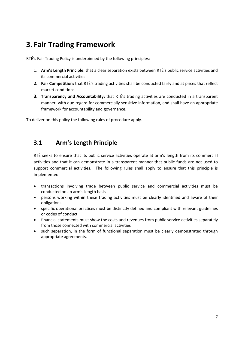# **3. Fair Trading Framework**

RTÉ's Fair Trading Policy is underpinned by the following principles:

- 1. **Arm's Length Principle:** that a clear separation exists between RTÉ's public service activities and its commercial activities
- **2.** Fair Competition: that RTÉ's trading activities shall be conducted fairly and at prices that reflect market conditions
- **3. Transparency and Accountability:** that RTÉ's trading activities are conducted in a transparent manner, with due regard for commercially sensitive information, and shall have an appropriate framework for accountability and governance.

To deliver on this policy the following rules of procedure apply.

# **3.1 Arm's Length Principle**

RTÉ seeks to ensure that its public service activities operate at arm's length from its commercial activities and that it can demonstrate in a transparent manner that public funds are not used to support commercial activities. The following rules shall apply to ensure that this principle is implemented:

- transactions involving trade between public service and commercial activities must be conducted on an arm's length basis
- persons working within these trading activities must be clearly identified and aware of their obligations
- specific operational practices must be distinctly defined and compliant with relevant guidelines or codes of conduct
- financial statements must show the costs and revenues from public service activities separately from those connected with commercial activities
- such separation, in the form of functional separation must be clearly demonstrated through appropriate agreements.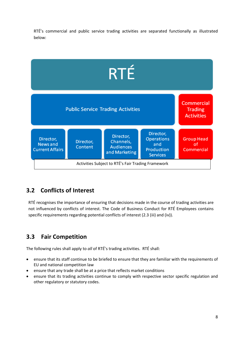RTÉ's commercial and public service trading activities are separated functionally as illustrated below:



### **3.2 Conflicts of Interest**

RTÉ recognises the importance of ensuring that decisions made in the course of trading activities are not influenced by conflicts of interest. The Code of Business Conduct for RTÉ Employees contains specific requirements regarding potential conflicts of interest (2.3 (iii) and (iv)).

# **3.3 Fair Competition**

The following rules shall apply to *all* of RTÉ's trading activities. RTÉ shall:

- ensure that its staff continue to be briefed to ensure that they are familiar with the requirements of EU and national competition law
- ensure that any trade shall be at a price that reflects market conditions
- ensure that its trading activities continue to comply with respective sector specific regulation and other regulatory or statutory codes.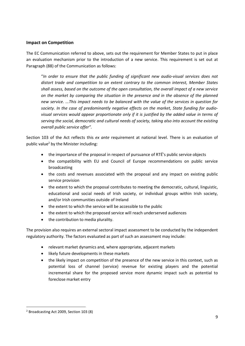#### **Impact on Competition**

The EC Communication referred to above, sets out the requirement for Member States to put in place an evaluation mechanism prior to the introduction of a new service. This requirement is set out at Paragraph (88) of the Communication as follows:

"*In order to ensure that the public funding of significant new audio-visual services does not distort trade and competition to an extent contrary to the common interest, Member States shall assess, based on the outcome of the open consultation, the overall impact of a new service on the market by comparing the situation in the presence and in the absence of the planned new service. ...This impact needs to be balanced with the value of the services in question for society. In the case of predominantly negative effects on the market, State funding for audiovisual services would appear proportionate only if it is justified by the added value in terms of serving the social, democratic and cultural needs of society, taking also into account the existing overall public service offer".*

Section 103 of the Act reflects this *ex ante* requirement at national level. There is an evaluation of public value<sup>2</sup> by the Minister including:

- the importance of the proposal in respect of pursuance of RTÉ's public service objects
- the compatibility with EU and Council of Europe recommendations on public service broadcasting
- the costs and revenues associated with the proposal and any impact on existing public service provision
- the extent to which the proposal contributes to meeting the democratic, cultural, linguistic, educational and social needs of Irish society, or individual groups within Irish society, and/or Irish communities outside of Ireland
- the extent to which the service will be accessible to the public
- the extent to which the proposed service will reach underserved audiences
- the contribution to media plurality.

The provision also requires an external sectoral impact assessment to be conducted by the independent regulatory authority. The factors evaluated as part of such an assessment may include:

- relevant market dynamics and, where appropriate, adjacent markets
- likely future developments in these markets
- the likely impact on competition of the presence of the new service in this context, such as potential loss of channel (service) revenue for existing players and the potential incremental share for the proposed service more dynamic impact such as potential to foreclose market entry

<sup>2</sup> Broadcasting Act 2009, Section 103 (8)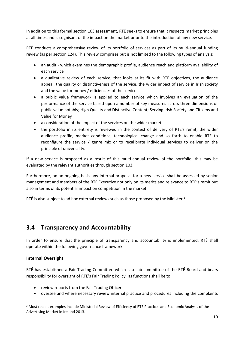In addition to this formal section 103 assessment, RTÉ seeks to ensure that it respects market principles at all times and is cognisant of the impact on the market prior to the introduction of any new service.

RTÉ conducts a comprehensive review of its portfolio of services as part of its multi-annual funding review (as per section 124). This review comprises but is not limited to the following types of analysis:

- an audit which examines the demographic profile, audience reach and platform availability of each service
- a qualitative review of each service, that looks at its fit with RTÉ objectives, the audience appeal, the quality or distinctiveness of the service, the wider impact of service in Irish society and the value for money / efficiencies of the service
- a public value framework is applied to each service which involves an evaluation of the performance of the service based upon a number of key measures across three dimensions of public value notably; High Quality and Distinctive Content; Serving Irish Society and Citizens and Value for Money
- a consideration of the impact of the services on the wider market
- the portfolio in its entirety is reviewed in the context of delivery of RTE's remit, the wider audience profile, market conditions, technological change and so forth to enable RTÉ to reconfigure the service / genre mix or to recalibrate individual services to deliver on the principle of universality.

If a new service is proposed as a result of this multi-annual review of the portfolio, this may be evaluated by the relevant authorities through section 103.

Furthermore, on an ongoing basis any internal proposal for a new service shall be assessed by senior management and members of the RTÉ Executive not only on its merits and relevance to RTÉ's remit but also in terms of its potential impact on competition in the market.

RTÉ is also subject to ad hoc external reviews such as those proposed by the Minister. $3$ 

### **3.4 Transparency and Accountability**

In order to ensure that the principle of transparency and accountability is implemented, RTÉ shall operate within the following governance framework:

#### **Internal Oversight**

RTÉ has established a Fair Trading Committee which is a sub-committee of the RTÉ Board and bears responsibility for oversight of RTÉ's Fair Trading Policy. Its functions shall be to:

- review reports from the Fair Trading Officer
- oversee and where necessary review internal practice and procedures including the complaints

<sup>&</sup>lt;sup>3</sup> Most recent examples include Ministerial Review of Efficiency of RTÉ Practices and Economic Analysis of the Advertising Market in Ireland 2013.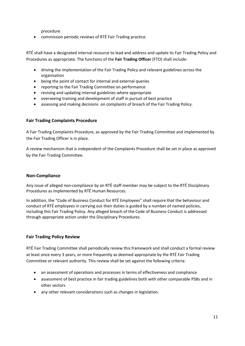procedure

• commission periodic reviews of RTÉ Fair Trading practice.

RTÉ shall have a designated internal resource to lead and address and update its Fair Trading Policy and Procedures as appropriate. The functions of the **Fair Trading Officer** (FTO) shall include:

- driving the implementation of the Fair Trading Policy and relevant guidelines across the organisation
- being the point of contact for internal and external queries
- reporting to the Fair Trading Committee on performance
- revising and updating internal guidelines where appropriate
- overseeing training and development of staff in pursuit of best practice
- assessing and making decisions on complaints of breach of the Fair Trading Policy.

#### **Fair Trading Complaints Procedure**

A Fair Trading Complaints Procedure, as approved by the Fair Trading Committee and implemented by the Fair Trading Officer is in place.

A review mechanism that is independent of the Complaints Procedure shall be set in place as approved by the Fair Trading Committee.

#### **Non-Compliance**

Any issue of alleged non-compliance by an RTÉ staff member may be subject to the RTÉ Disciplinary Procedures as implemented by RTÉ Human Resources.

In addition, the "Code of Business Conduct for RTÉ Employees" shall require that the behaviour and conduct of RTÉ employees in carrying out their duties is guided by a number of named policies, including this Fair Trading Policy. Any alleged breach of the Code of Business Conduct is addressed through appropriate action under the Disciplinary Procedures.

#### **Fair Trading Policy Review**

RTÉ Fair Trading Committee shall periodically review this framework and shall conduct a formal review at least once every 3 years, or more frequently as deemed appropriate by the RTÉ Fair Trading Committee or relevant authority. This review shall be set against the following criteria:

- an assessment of operations and processes in terms of effectiveness and compliance
- assessment of best practice in fair trading guidelines both with other comparable PSBs and in other sectors
- any other relevant considerations such as changes in legislation.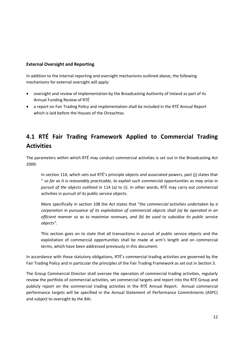#### **External Oversight and Reporting**

In addition to the internal reporting and oversight mechanisms outlined above, the following mechanisms for external oversight will apply:

- oversight and review of implementation by the Broadcasting Authority of Ireland as part of its Annual Funding Review of RTÉ
- a report on Fair Trading Policy and implementation shall be included in the RTÉ Annual Report which is laid before the Houses of the Oireachtas.

# **4.1 RTÉ Fair Trading Framework Applied to Commercial Trading Activities**

The parameters within which RTÉ may conduct commercial activities is set out in the Broadcasting Act 2009:

In section 114, which sets out RTÉ's principle objects and associated powers, part (j) states that " *so far as it is reasonably practicable, to exploit such commercial opportunities as may arise in pursuit of the objects outlined in* 114 (a) to (i). In other words, RTÉ may carry out commercial activities in pursuit of its public service objects.

More specifically in section 108 the Act states that "*the commercial activities undertaken by a corporation in pursuance of its exploitation of commercial objects shall (a) be operated in an efficient manner so as to maximise revenues, and (b) be used to subsidise its public service objects"*.

This section goes on to state that all transactions in pursuit of public service objects and the exploitation of commercial opportunities shall be made at arm's length and on commercial terms, which have been addressed previously in this document.

In accordance with these statutory obligations, RTÉ's commercial trading activities are governed by the Fair Trading Policy and in particular the principles of the Fair Trading Framework as set out in Section 3.

The Group Commercial Director shall oversee the operation of commercial trading activities, regularly review the portfolio of commercial activities, set commercial targets and report into the RTÉ Group and publicly report on the commercial trading activities in the RTÉ Annual Report. Annual commercial performance targets will be specified in the Annual Statement of Performance Commitments (ASPC) and subject to oversight by the BAI.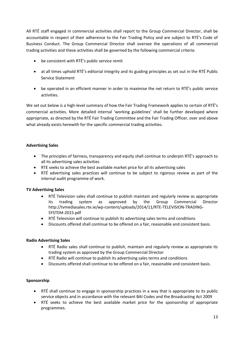All RTÉ staff engaged in commercial activities shall report to the Group Commercial Director, shall be accountable in respect of their adherence to the Fair Trading Policy and are subject to RTÉ's Code of Business Conduct. The Group Commercial Director shall oversee the operations of all commercial trading activities and these activities shall be governed by the following commercial criteria:

- be consistent with RTÉ's public service remit
- at all times uphold RTÉ's editorial integrity and its guiding principles as set out in the RTÉ Public Service Statement
- be operated in an efficient manner in order to maximise the net return to RTÉ's public service activities.

We set out below is a high-level summary of how the Fair Trading Framework applies to certain of RTÉ's commercial activities. More detailed internal 'working guidelines' shall be further developed where appropriate, as directed by the RTÉ Fair Trading Committee and the Fair Trading Officer, over and above what already exists herewith for the specific commercial trading activities.

#### **Advertising Sales**

- The principles of fairness, transparency and equity shall continue to underpin RTÉ's approach to all its advertising sales activities
- RTE seeks to achieve the best available market price for all its advertising sales
- RTÉ advertising sales practices will continue to be subject to rigorous review as part of the internal audit programme of work.

#### **TV Advertising Sales**

- RTÉ Television sales shall continue to publish maintain and regularly review as appropriate trading system as approved by the Group Commercial Director [http://tvmediasales.rte.ie/wp-content/uploads/2014/11/RTE-TELEVISION-TRADING-](http://tvmediasales.rte.ie/wp-content/uploads/2014/11/RTE-TELEVISION-TRADING-SYSTEM-2015.pdf)[SYSTEM-2015.pdf](http://tvmediasales.rte.ie/wp-content/uploads/2014/11/RTE-TELEVISION-TRADING-SYSTEM-2015.pdf)
- RTÉ Television will continue to publish its advertising sales terms and conditions
- Discounts offered shall continue to be offered on a fair, reasonable and consistent basis.

#### **Radio Advertising Sales**

- RTÉ Radio sales shall continue to publish, maintain and regularly review as appropriate its trading system as approved by the Group Commercial Director
- RTÉ Radio will continue to publish its advertising sales terms and conditions
- Discounts offered shall continue to be offered on a fair, reasonable and consistent basis.

#### **Sponsorship**

- RTÉ shall continue to engage in sponsorship practices in a way that is appropriate to its public service objects and in accordance with the relevant BAI Codes and the Broadcasting Act 2009
- RTÉ seeks to achieve the best available market price for the sponsorship of appropriate programmes.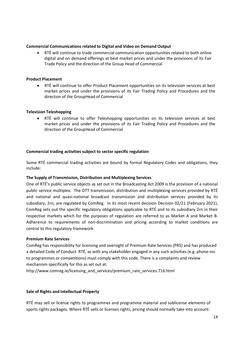#### **Commercial Communications related to Digital and Video on Demand Output**

• RTÉ will continue to trade commercial communication opportunities related to both online digital and on demand offerings at best market prices and under the provisions of its Fair Trade Policy and the direction of the Group Head of Commercial

#### **Product Placement**

• RTÉ will continue to offer Product Placement opportunities on its television services at best market prices and under the provisions of its Fair Trading Policy and Procedures and the direction of the GroupHead of Commercial

#### **Television Teleshopping**

• RTÉ will continue to offer Teleshopping opportunities on its television services at best market prices and under the provisions of its Fair Trading Policy and Procedures and the direction of the GroupHead of Commercial

#### **Commercial trading activities subject to sector specific regulation**

Some RTÉ commercial trading activities are bound by formal Regulatory Codes and obligations, they include:

#### **The Supply of Transmission, Distribution and Multiplexing Services**

One of RTÉ's public service objects as set out in the Broadcasting Act 2009 is the provision of a national public service multiplex. The DTT transmission, distribution and multiplexing services provided by RTÉ and national and quasi-national broadcast transmission and distribution services provided by its subsidiary, 2rn, are regulated by ComReg. In its most recent decision Decision 02/21 (February 2021), ComReg sets out the specific regulatory obligations applicable to RTÉ and to its subsidiary 2rn in their respective markets which for the purposes of regulation are referred to as Market A and Market B. Adherence to requirements of non-discrimination and pricing according to market conditions are central to this regulatory framework.

#### **Premium Rate Services**

ComReg has responsibility for licensing and oversight of Premium Rate Services (PRS) and has produced a detailed Code of Conduct. RTÉ, as with any stakeholder engaged in any such activities (e.g. phone-ins to programmes or competitions) must comply with this code. There is a complaints and review mechanism specifically for this as set out at:

[http://www.comreg.ie/licensing\\_and\\_services/premium\\_rate\\_services.716.html](http://www.comreg.ie/licensing_and_services/premium_rate_services.716.html)

#### **Sale of Rights and Intellectual Property**

RTÉ may sell or license rights to programmes and programme material and sublicense elements of sports rights packages. Where RTÉ sells or licenses rights, pricing should normally take into account: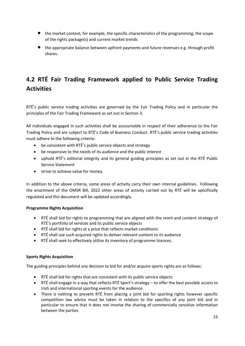- the market context, for example, the specific characteristics of the programming, the scope of the rights package(s) and current market trends
- the appropriate balance between upfront payments and future revenues e.g. through profit shares.

# **4.2 RTÉ Fair Trading Framework applied to Public Service Trading Activities**

RTÉ's public service trading activities are governed by the Fair Trading Policy and in particular the principles of the Fair Trading Framework as set out in Section 3.

All individuals engaged in such activities shall be accountable in respect of their adherence to the Fair Trading Policy and are subject to RTÉ's Code of Business Conduct. RTÉ's public service trading activities must adhere to the following criteria:

- be consistent with RTÉ's public service objects and strategy
- be responsive to the needs of its audience and the public interest
- uphold RTÉ's editorial integrity and its general guiding principles as set out in the RTÉ Public Service Statement
- strive to achieve value for money.

In addition to the above criteria, some areas of activity carry their own internal guidelines. Following the enactment of the OMSR Bill, 2022 other areas of activity carried out by RTÉ will be specifically regulated and this document will be updated accordingly.

#### **Programme Rights Acquisition**

- RTÉ shall bid for rights to programming that are aligned with the remit and content strategy of RTÉ's portfolio of services and its public service objects
- RTÉ shall bid for rights at a price that reflects market conditions
- RTÉ shall use such acquired rights to deliver relevant content to its audience
- RTÉ shall seek to effectively utilise its inventory of programme licences.

#### **Sports Rights Acquisition**

The guiding principles behind any decision to bid for and/or acquire sports rights are as follows:

- RTÉ shall bid for rights that are consistent with its public service objects
- RTÉ shall engage in a way that reflects RTÉ Sport's strategy to offer the best possible access to Irish and international sporting events for the audience
- There is nothing to prevent RTÉ from placing a joint bid for sporting rights however specific competition law advice must be taken in relation to the specifics of any joint bid and in particular to ensure that it does not involve the sharing of commercially sensitive information between the parties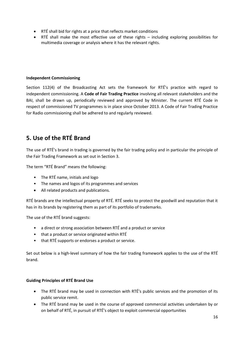- RTÉ shall bid for rights at a price that reflects market conditions
- RTÉ shall make the most effective use of these rights including exploring possibilities for multimedia coverage or analysis where it has the relevant rights.

#### **Independent Commissioning**

Section 112(4) of the Broadcasting Act sets the framework for RTÉ's practice with regard to independent commissioning. A **Code of Fair Trading Practice** involving all relevant stakeholders and the BAI, shall be drawn up, periodically reviewed and approved by Minister. The current RTÉ Code in respect of commissioned TV programmes is in place since October 2013. A Code of Fair Trading Practice for Radio commissioning shall be adhered to and regularly reviewed.

### **5. Use of the RTÉ Brand**

The use of RTÉ's brand in trading is governed by the fair trading policy and in particular the principle of the Fair Trading Framework as set out in Section 3.

The term "RTÉ Brand" means the following:

- The RTÉ name, initials and logo
- The names and logos of its programmes and services
- All related products and publications.

RTÉ brands are the intellectual property of RTÉ. RTÉ seeks to protect the goodwill and reputation that it has in its brands by registering them as part of its portfolio of trademarks.

The use of the RTÉ brand suggests:

- a direct or strong association between RTÉ and a product or service
- that a product or service originated within RTÉ
- that RTÉ supports or endorses a product or service.

Set out below is a high-level summary of how the fair trading framework applies to the use of the RTÉ brand.

#### **Guiding Principles of RTÉ Brand Use**

- The RTÉ brand may be used in connection with RTÉ's public services and the promotion of its public service remit.
- The RTÉ brand may be used in the course of approved commercial activities undertaken by or on behalf of RTÉ, in pursuit of RTÉ's object to exploit commercial opportunities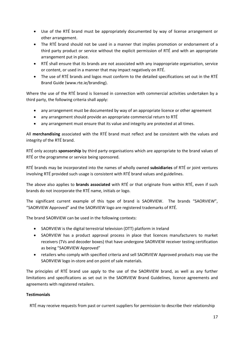- Use of the RTÉ brand must be appropriately documented by way of license arrangement or other arrangement.
- The RTÉ brand should not be used in a manner that implies promotion or endorsement of a third party product or service without the explicit permission of RTÉ and with an appropriate arrangement put in place.
- RTÉ shall ensure that its brands are not associated with any inappropriate organisation, service or content, or used in a manner that may impact negatively on RTÉ.
- The use of RTÉ brands and logos must conform to the detailed specifications set out in the RTÉ Brand Guide [\(www.rte.ie/branding\)](http://www.rte.ie/branding).

Where the use of the RTÉ brand is licensed in connection with commercial activities undertaken by a third party, the following criteria shall apply:

- any arrangement must be documented by way of an appropriate licence or other agreement
- any arrangement should provide an appropriate commercial return to RTÉ
- any arrangement must ensure that its value and integrity are protected at all times.

All **merchandising** associated with the RTÉ brand must reflect and be consistent with the values and integrity of the RTÉ brand.

RTÉ only accepts **sponsorship** by third party organisations which are appropriate to the brand values of RTÉ or the programme or service being sponsored.

RTÉ brands may be incorporated into the names of wholly owned **subsidiaries** of RTÉ or joint ventures involving RTÉ provided such usage is consistent with RTÉ brand values and guidelines.

The above also applies to **brands associated** with RTÉ or that originate from within RTÉ, even if such brands do not incorporate the RTÉ name, initials or logo.

The significant current example of this type of brand is SAORVIEW. The brands "SAORVIEW", "SAORVIEW Approved" and the SAORVIEW logo are registered trademarks of RTÉ.

The brand SAORVIEW can be used in the following contexts:

- SAORVIEW is the digital terrestrial television (DTT) platform in Ireland
- SAORVIEW has a product approval process in place that licences manufacturers to market receivers (TVs and decoder boxes) that have undergone SAORVIEW receiver testing certification as being "SAORVIEW Approved"
- retailers who comply with specified criteria and sell SAORVIEW Approved products may use the SAORVIEW logo in-store and on point of sale materials.

The principles of RTÉ brand use apply to the use of the SAORVIEW brand, as well as any further limitations and specifications as set out in the SAORVIEW Brand Guidelines, licence agreements and agreements with registered retailers.

#### **Testimonials**

RTÉ may receive requests from past or current suppliers for permission to describe their relationship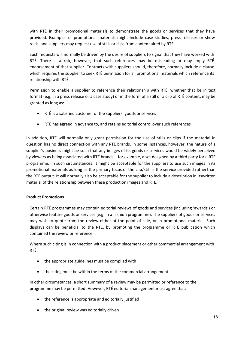with RTÉ in their promotional materials to demonstrate the goods or services that they have provided. Examples of promotional materials might include case studies, press releases or show reels, and suppliers may request use of stills or clips from content aired by RTÉ.

Such requests will normally be driven by the desire of suppliers to signal that they have worked with RTÉ. There is a risk, however, that such references may be misleading or may imply RTÉ endorsement of that supplier. Contracts with suppliers should, therefore, normally include a clause which requires the supplier to seek RTÉ permission for all promotional materials which reference its relationship with RTÉ.

Permission to enable a supplier to reference their relationship with RTÉ, whether that be in text format (e.g. in a press release or a case study) or in the form of a still or a clip of RTÉ content, may be granted as long as:

- RTÉ is a satisfied customer of the suppliers' goods or services
- RTÉ has agreed in advance to, and retains editorial control over such references

In addition, RTÉ will normally only grant permission for the use of stills or clips if the material in question has no direct connection with any RTÉ brands. In some instances, however, the nature of a supplier's business might be such that any images of its goods or services would be widely perceived by viewers as being associated with RTÉ brands – for example, a set designed by a third party for a RTÉ programme. In such circumstances, it might be acceptable for the suppliers to use such images in its promotional materials as long as the primary focus of the clip/still is the service provided ratherthan the RTÉ output. It will normally also be acceptable for the supplier to include a description in itswritten material of the relationship between these production images and RTÉ.

#### **Product Promotions**

Certain RTÉ programmes may contain editorial reviews of goods and services (including 'awards') or otherwise feature goods or services (e.g. in a fashion programme). The suppliers of goods or services may wish to quote from the review either at the point of sale, or in promotional material. Such displays can be beneficial to the RTÉ, by promoting the programme or RTÉ publication which contained the review or reference.

Where such citing is in connection with a product placement or other commercial arrangement with RTÉ:

- the appropriate guidelines must be complied with
- the citing must be within the terms of the commercial arrangement.

In other circumstances, a short summary of a review may be permitted or reference to the programme may be permitted. However, RTÉ editorial management must agree that:

- the reference is appropriate and editorially justified
- the original review was editorially driven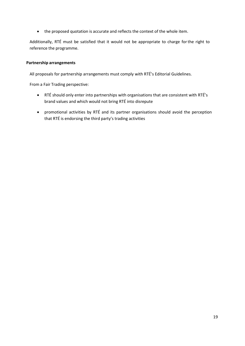• the proposed quotation is accurate and reflects the context of the whole item.

Additionally, RTÉ must be satisfied that it would not be appropriate to charge forthe right to reference the programme.

#### **Partnership arrangements**

All proposals for partnership arrangements must comply with RTÉ's Editorial Guidelines.

From a Fair Trading perspective:

- RTÉ should only enter into partnerships with organisations that are consistent with RTÉ's brand values and which would not bring RTÉ into disrepute
- promotional activities by RTÉ and its partner organisations should avoid the perception that RTÉ is endorsing the third party's trading activities